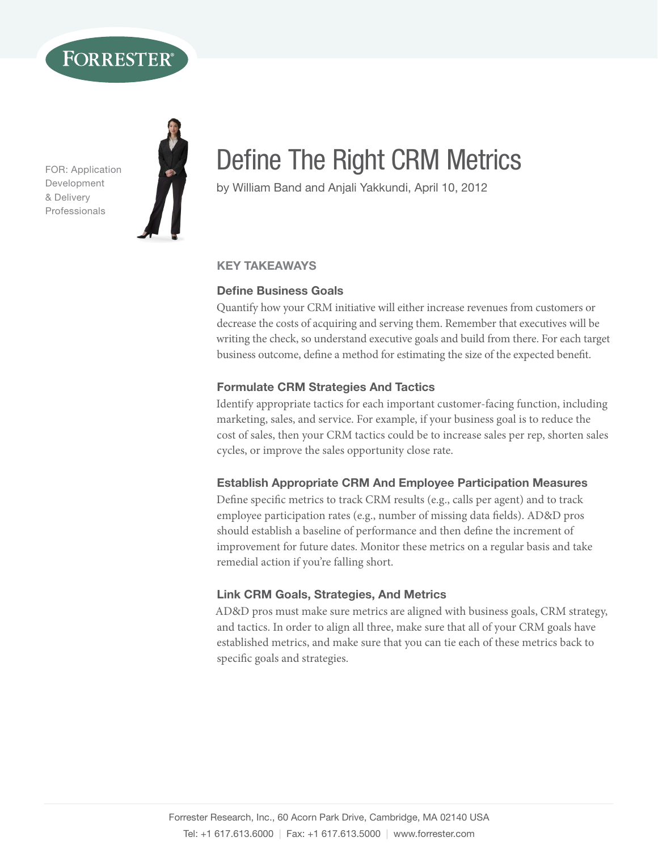# FORRESTER

FOR: Application Development & Delivery **Professionals** 



# Define The Right CRM Metrics

by William Band and Anjali Yakkundi, April 10, 2012

## key TakeaWays

## **Define Business Goals**

Quantify how your CRM initiative will either increase revenues from customers or decrease the costs of acquiring and serving them. Remember that executives will be writing the check, so understand executive goals and build from there. For each target business outcome, define a method for estimating the size of the expected benefit.

## **Formulate CRM Strategies And Tactics**

Identify appropriate tactics for each important customer-facing function, including marketing, sales, and service. For example, if your business goal is to reduce the cost of sales, then your CRM tactics could be to increase sales per rep, shorten sales cycles, or improve the sales opportunity close rate.

## **Establish Appropriate CRM And Employee Participation Measures**

Define specific metrics to track CRM results (e.g., calls per agent) and to track employee participation rates (e.g., number of missing data fields). AD&D pros should establish a baseline of performance and then define the increment of improvement for future dates. Monitor these metrics on a regular basis and take remedial action if you're falling short.

## Link CRM Goals, strategies, and Metrics

AD&D pros must make sure metrics are aligned with business goals, CRM strategy, and tactics. In order to align all three, make sure that all of your CRM goals have established metrics, and make sure that you can tie each of these metrics back to specific goals and strategies.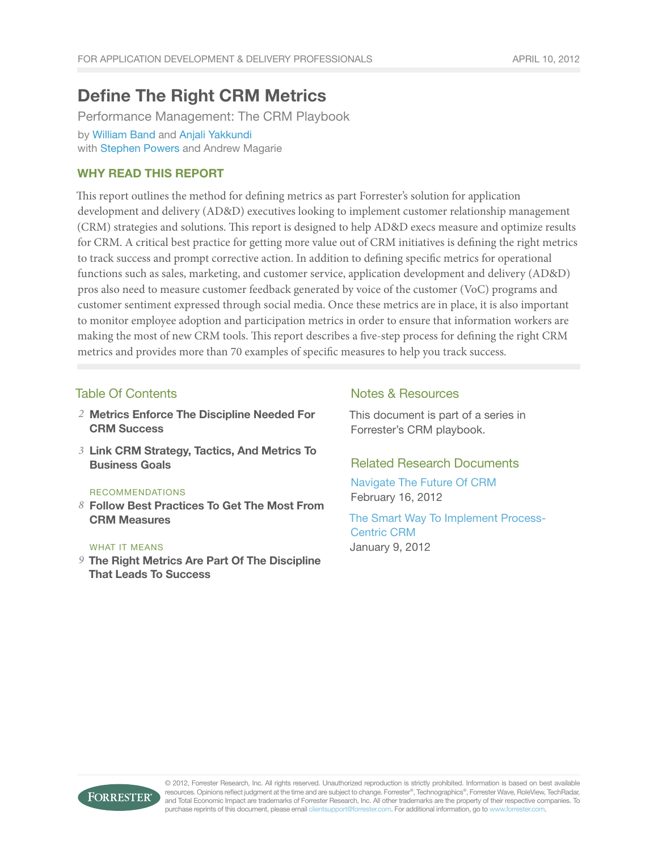## Define The Right CRM Metrics

Performance Management: The CRM Playbook by [William Band](http://www.forrester.com/go?objectid=BIO1070) and [Anjali Yakkundi](http://www.forrester.com/go?objectid=BIO2773) with [Stephen Powers](http://www.forrester.com/go?objectid=BIO1252) and Andrew Magarie

## Why Read This Report

This report outlines the method for defining metrics as part Forrester's solution for application development and delivery (AD&D) executives looking to implement customer relationship management (CRM) strategies and solutions. This report is designed to help AD&D execs measure and optimize results for CRM. A critical best practice for getting more value out of CRM initiatives is defining the right metrics to track success and prompt corrective action. In addition to defining specific metrics for operational functions such as sales, marketing, and customer service, application development and delivery (AD&D) pros also need to measure customer feedback generated by voice of the customer (VoC) programs and customer sentiment expressed through social media. Once these metrics are in place, it is also important to monitor employee adoption and participation metrics in order to ensure that information workers are making the most of new CRM tools. This report describes a five-step process for defining the right CRM metrics and provides more than 70 examples of specific measures to help you track success.

## Table Of Contents

- Metrics Enforce The Discipline Needed For *2* CRM Success
- 3 Link CRM Strategy, Tactics, And Metrics To Business Goals

#### recommendations

Follow Best Practices To Get The Most From *8* CRM Measures

#### WHAT IT MEANS

The Right Metrics Are Part Of The Discipline *9* That Leads To Success

## Notes & Resources

This document is part of a series in Forrester's CRM playbook.

## Related Research Documents

[Navigate The Future Of CRM](http://www.forrester.com/go?objectid=RES61581) February 16, 2012

[The Smart Way To Implement Process-](http://www.forrester.com/go?objectid=RES60676)[Centric CRM](http://www.forrester.com/go?objectid=RES60676) January 9, 2012

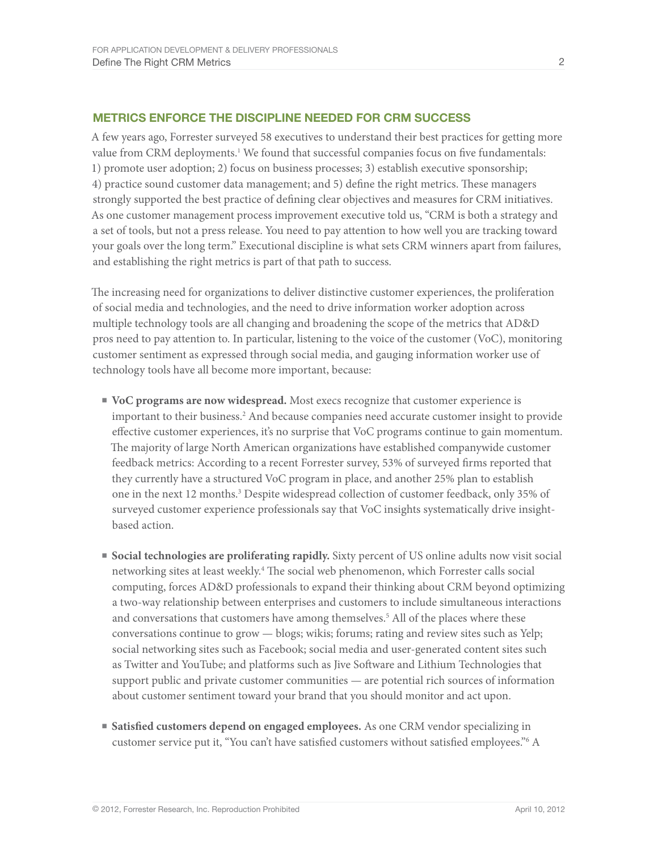## Metrics enforce the discipline needed for CRm success

A few years ago, Forrester surveyed 58 executives to understand their best practices for getting more value from CRM deployments.<sup>1</sup> We found that successful companies focus on five fundamentals: 1) promote user adoption; 2) focus on business processes; 3) establish executive sponsorship; 4) practice sound customer data management; and 5) define the right metrics. These managers strongly supported the best practice of defining clear objectives and measures for CRM initiatives. As one customer management process improvement executive told us, "CRM is both a strategy and a set of tools, but not a press release. You need to pay attention to how well you are tracking toward your goals over the long term." Executional discipline is what sets CRM winners apart from failures, and establishing the right metrics is part of that path to success.

The increasing need for organizations to deliver distinctive customer experiences, the proliferation of social media and technologies, and the need to drive information worker adoption across multiple technology tools are all changing and broadening the scope of the metrics that AD&D pros need to pay attention to. In particular, listening to the voice of the customer (VoC), monitoring customer sentiment as expressed through social media, and gauging information worker use of technology tools have all become more important, because:

- **■ VoC programs are now widespread.** Most execs recognize that customer experience is important to their business.<sup>2</sup> And because companies need accurate customer insight to provide effective customer experiences, it's no surprise that VoC programs continue to gain momentum. The majority of large North American organizations have established companywide customer feedback metrics: According to a recent Forrester survey, 53% of surveyed firms reported that they currently have a structured VoC program in place, and another 25% plan to establish one in the next 12 months.<sup>3</sup> Despite widespread collection of customer feedback, only 35% of surveyed customer experience professionals say that VoC insights systematically drive insightbased action.
- **■ Social technologies are proliferating rapidly.** Sixty percent of US online adults now visit social networking sites at least weekly.<sup>4</sup> The social web phenomenon, which Forrester calls social computing, forces AD&D professionals to expand their thinking about CRM beyond optimizing a two-way relationship between enterprises and customers to include simultaneous interactions and conversations that customers have among themselves.<sup>5</sup> All of the places where these conversations continue to grow — blogs; wikis; forums; rating and review sites such as Yelp; social networking sites such as Facebook; social media and user-generated content sites such as Twitter and YouTube; and platforms such as Jive Software and Lithium Technologies that support public and private customer communities — are potential rich sources of information about customer sentiment toward your brand that you should monitor and act upon.
- **■ Satisfied customers depend on engaged employees.** As one CRM vendor specializing in customer service put it, "You can't have satisfied customers without satisfied employees."6 A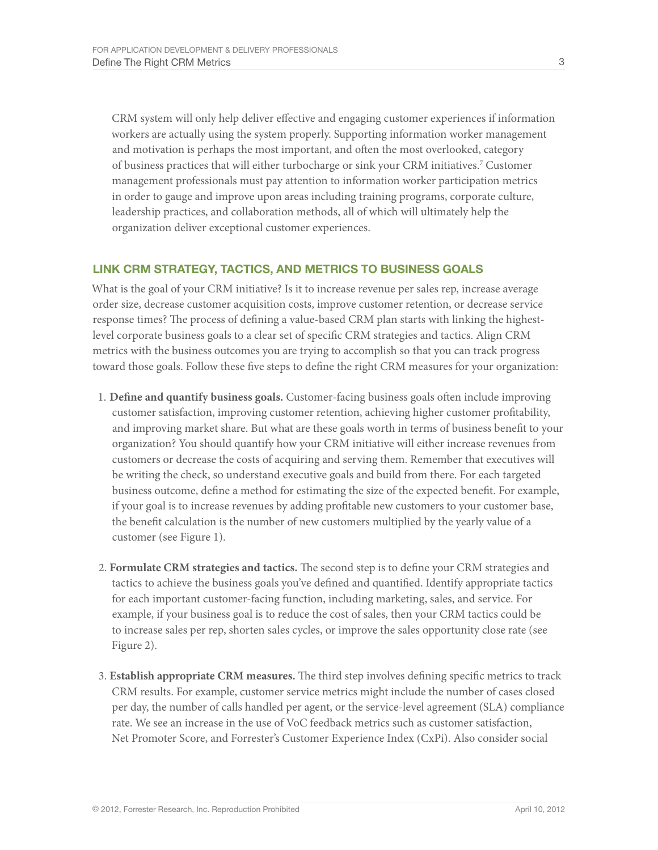CRM system will only help deliver effective and engaging customer experiences if information workers are actually using the system properly. Supporting information worker management and motivation is perhaps the most important, and often the most overlooked, category of business practices that will either turbocharge or sink your CRM initiatives.<sup>7</sup> Customer management professionals must pay attention to information worker participation metrics in order to gauge and improve upon areas including training programs, corporate culture, leadership practices, and collaboration methods, all of which will ultimately help the organization deliver exceptional customer experiences.

## Link CRm strategy, Tactics, and MEtrics TO Business Goals

What is the goal of your CRM initiative? Is it to increase revenue per sales rep, increase average order size, decrease customer acquisition costs, improve customer retention, or decrease service response times? The process of defining a value-based CRM plan starts with linking the highestlevel corporate business goals to a clear set of specific CRM strategies and tactics. Align CRM metrics with the business outcomes you are trying to accomplish so that you can track progress toward those goals. Follow these five steps to define the right CRM measures for your organization:

- 1. **Define and quantify business goals.** Customer-facing business goals often include improving customer satisfaction, improving customer retention, achieving higher customer profitability, and improving market share. But what are these goals worth in terms of business benefit to your organization? You should quantify how your CRM initiative will either increase revenues from customers or decrease the costs of acquiring and serving them. Remember that executives will be writing the check, so understand executive goals and build from there. For each targeted business outcome, define a method for estimating the size of the expected benefit. For example, if your goal is to increase revenues by adding profitable new customers to your customer base, the benefit calculation is the number of new customers multiplied by the yearly value of a customer (see Figure 1).
- 2. **Formulate CRM strategies and tactics.** The second step is to define your CRM strategies and tactics to achieve the business goals you've defined and quantified. Identify appropriate tactics for each important customer-facing function, including marketing, sales, and service. For example, if your business goal is to reduce the cost of sales, then your CRM tactics could be to increase sales per rep, shorten sales cycles, or improve the sales opportunity close rate (see Figure 2).
- 3. **Establish appropriate CRM measures.** The third step involves defining specific metrics to track CRM results. For example, customer service metrics might include the number of cases closed per day, the number of calls handled per agent, or the service-level agreement (SLA) compliance rate. We see an increase in the use of VoC feedback metrics such as customer satisfaction, Net Promoter Score, and Forrester's Customer Experience Index (CxPi). Also consider social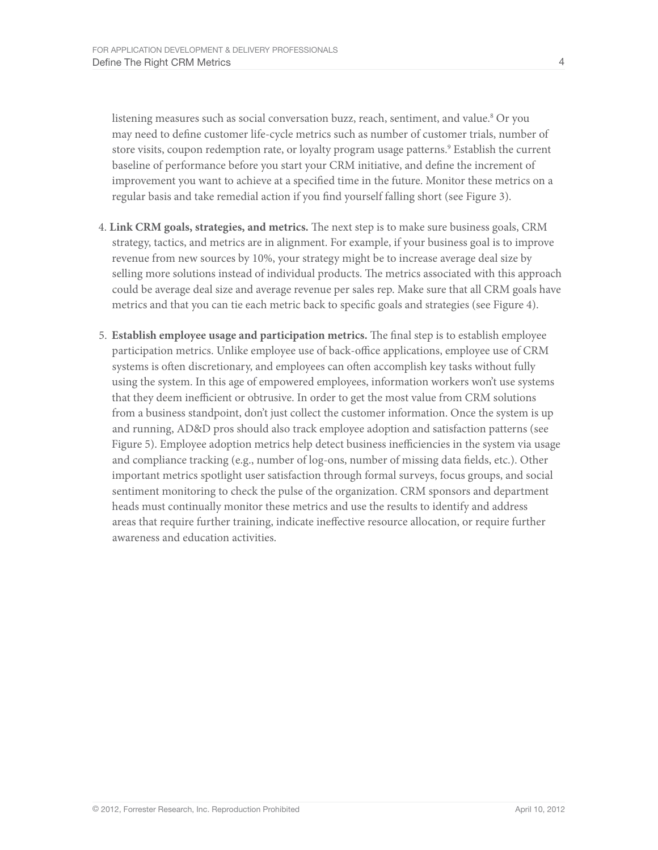listening measures such as social conversation buzz, reach, sentiment, and value.<sup>8</sup> Or you may need to define customer life-cycle metrics such as number of customer trials, number of store visits, coupon redemption rate, or loyalty program usage patterns.<sup>9</sup> Establish the current baseline of performance before you start your CRM initiative, and define the increment of improvement you want to achieve at a specified time in the future. Monitor these metrics on a regular basis and take remedial action if you find yourself falling short (see Figure 3).

- 4. **Link CRM goals, strategies, and metrics.** The next step is to make sure business goals, CRM strategy, tactics, and metrics are in alignment. For example, if your business goal is to improve revenue from new sources by 10%, your strategy might be to increase average deal size by selling more solutions instead of individual products. The metrics associated with this approach could be average deal size and average revenue per sales rep. Make sure that all CRM goals have metrics and that you can tie each metric back to specific goals and strategies (see Figure 4).
- 5. **Establish employee usage and participation metrics.** The final step is to establish employee participation metrics. Unlike employee use of back-office applications, employee use of CRM systems is often discretionary, and employees can often accomplish key tasks without fully using the system. In this age of empowered employees, information workers won't use systems that they deem inefficient or obtrusive. In order to get the most value from CRM solutions from a business standpoint, don't just collect the customer information. Once the system is up and running, AD&D pros should also track employee adoption and satisfaction patterns (see Figure 5). Employee adoption metrics help detect business inefficiencies in the system via usage and compliance tracking (e.g., number of log-ons, number of missing data fields, etc.). Other important metrics spotlight user satisfaction through formal surveys, focus groups, and social sentiment monitoring to check the pulse of the organization. CRM sponsors and department heads must continually monitor these metrics and use the results to identify and address areas that require further training, indicate ineffective resource allocation, or require further awareness and education activities.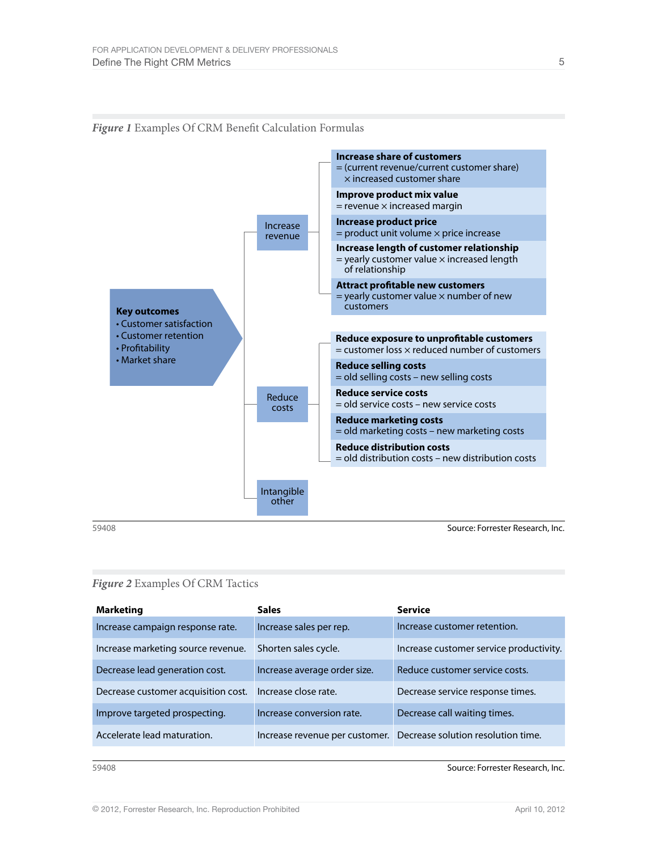

#### *Figure 1* Examples Of CRM Benefit Calculation Formulas

59408 Source: Forrester Research, Inc.

#### *Figure 2* Examples Of CRM Tactics

| <b>Marketing</b>                    | <b>Sales</b>                 | <b>Service</b>                                                    |
|-------------------------------------|------------------------------|-------------------------------------------------------------------|
| Increase campaign response rate.    | Increase sales per rep.      | Increase customer retention.                                      |
| Increase marketing source revenue.  | Shorten sales cycle.         | Increase customer service productivity.                           |
| Decrease lead generation cost.      | Increase average order size. | Reduce customer service costs.                                    |
| Decrease customer acquisition cost. | Increase close rate.         | Decrease service response times.                                  |
| Improve targeted prospecting.       | Increase conversion rate.    | Decrease call waiting times.                                      |
| Accelerate lead maturation.         |                              | Increase revenue per customer. Decrease solution resolution time. |

59408 Source: Forrester Research, Inc.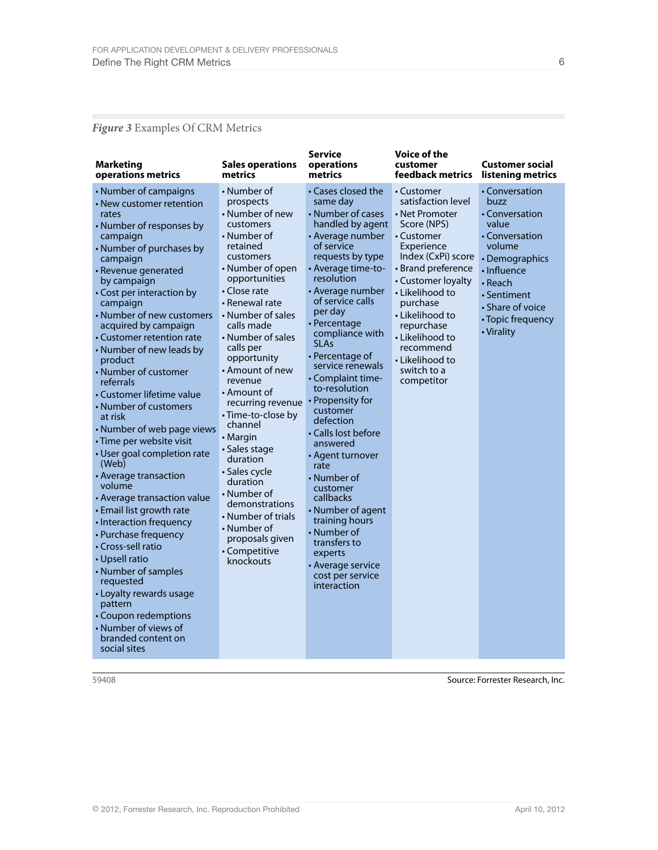## *Figure 3* Examples Of CRM Metrics

| <b>Marketing</b><br>operations metrics                                                                                                                                                                                                                                                                                                                                                                                                                                                                                                                                                                                                                                                                                                                                                                                                                                                                              | <b>Sales operations</b><br>metrics                                                                                                                                                                                                                                                                                                                                                                                                                                                                                                                                            | <b>Service</b><br>operations<br>metrics                                                                                                                                                                                                                                                                                                                                                                                                                                                                                                                                                                                                                | Voice of the<br>customer<br>feedback metrics                                                                                                                                                                                                                                                                    | <b>Customer social</b><br>listening metrics                                                                                                                                                     |
|---------------------------------------------------------------------------------------------------------------------------------------------------------------------------------------------------------------------------------------------------------------------------------------------------------------------------------------------------------------------------------------------------------------------------------------------------------------------------------------------------------------------------------------------------------------------------------------------------------------------------------------------------------------------------------------------------------------------------------------------------------------------------------------------------------------------------------------------------------------------------------------------------------------------|-------------------------------------------------------------------------------------------------------------------------------------------------------------------------------------------------------------------------------------------------------------------------------------------------------------------------------------------------------------------------------------------------------------------------------------------------------------------------------------------------------------------------------------------------------------------------------|--------------------------------------------------------------------------------------------------------------------------------------------------------------------------------------------------------------------------------------------------------------------------------------------------------------------------------------------------------------------------------------------------------------------------------------------------------------------------------------------------------------------------------------------------------------------------------------------------------------------------------------------------------|-----------------------------------------------------------------------------------------------------------------------------------------------------------------------------------------------------------------------------------------------------------------------------------------------------------------|-------------------------------------------------------------------------------------------------------------------------------------------------------------------------------------------------|
| • Number of campaigns<br>• New customer retention<br>rates<br>• Number of responses by<br>campaign<br>• Number of purchases by<br>campaign<br>· Revenue generated<br>by campaign<br>• Cost per interaction by<br>campaign<br>• Number of new customers<br>acquired by campaign<br>• Customer retention rate<br>• Number of new leads by<br>product<br>• Number of customer<br>referrals<br>• Customer lifetime value<br>• Number of customers<br>at risk<br>• Number of web page views<br>· Time per website visit<br>• User goal completion rate<br>(Web)<br>• Average transaction<br>volume<br>• Average transaction value<br>• Email list growth rate<br>• Interaction frequency<br>• Purchase frequency<br>• Cross-sell ratio<br>• Upsell ratio<br>• Number of samples<br>requested<br>• Loyalty rewards usage<br>pattern<br>• Coupon redemptions<br>• Number of views of<br>branded content on<br>social sites | • Number of<br>prospects<br>• Number of new<br>customers<br>• Number of<br>retained<br>customers<br>$\cdot$ Number of open<br>opportunities<br>• Close rate<br>• Renewal rate<br>• Number of sales<br>calls made<br>• Number of sales<br>calls per<br>opportunity<br>• Amount of new<br>revenue<br>$\cdot$ Amount of<br>recurring revenue<br>• Time-to-close by<br>channel<br>• Margin<br>· Sales stage<br>duration<br>• Sales cycle<br>duration<br>$\cdot$ Number of<br>demonstrations<br>• Number of trials<br>• Number of<br>proposals given<br>• Competitive<br>knockouts | • Cases closed the<br>same day<br>• Number of cases<br>handled by agent<br>• Average number<br>of service<br>requests by type<br>• Average time-to-<br>resolution<br>• Average number<br>of service calls<br>per day<br>• Percentage<br>compliance with<br><b>SLAs</b><br>$\cdot$ Percentage of<br>service renewals<br>• Complaint time-<br>to-resolution<br>• Propensity for<br>customer<br>defection<br>• Calls lost before<br>answered<br>• Agent turnover<br>rate<br>• Number of<br>customer<br>callbacks<br>• Number of agent<br>training hours<br>• Number of<br>transfers to<br>experts<br>• Average service<br>cost per service<br>interaction | • Customer<br>satisfaction level<br>• Net Promoter<br>Score (NPS)<br>• Customer<br>Experience<br>Index (CxPi) score<br>• Brand preference<br>• Customer loyalty<br>• Likelihood to<br>purchase<br>• Likelihood to<br>repurchase<br>• Likelihood to<br>recommend<br>• Likelihood to<br>switch to a<br>competitor | • Conversation<br>buzz<br>• Conversation<br>value<br>• Conversation<br>volume<br>• Demographics<br>· Influence<br>• Reach<br>• Sentiment<br>• Share of voice<br>• Topic frequency<br>• Virality |

59408 Source: Forrester Research, Inc.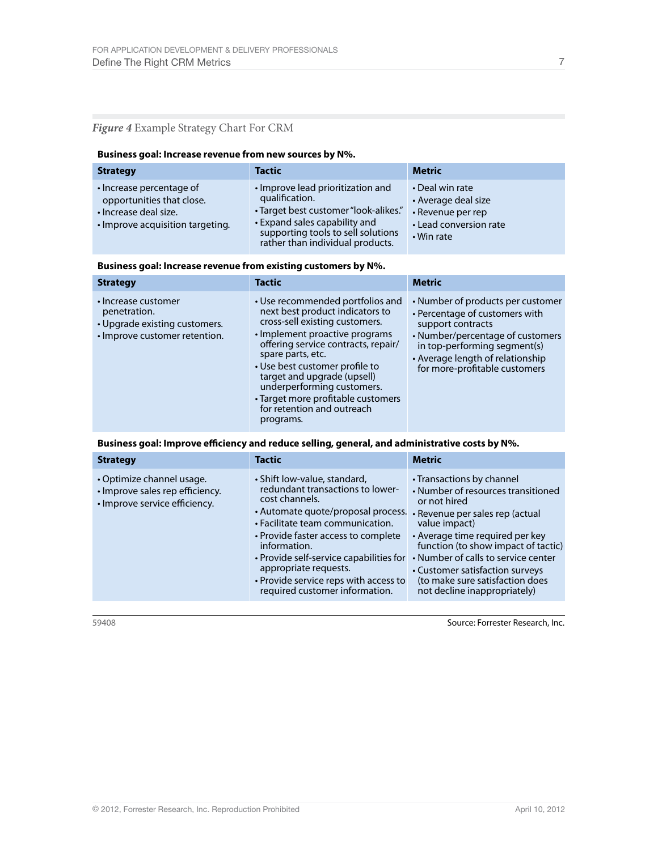## *Figure 4* Example Strategy Chart For CRM

#### **Business goal: Increase revenue from new sources by N%.**

| <b>Strategy</b>                                                                                                    | <b>Tactic</b>                                                                                                                                                                                           | <b>Metric</b>                                                                                       |
|--------------------------------------------------------------------------------------------------------------------|---------------------------------------------------------------------------------------------------------------------------------------------------------------------------------------------------------|-----------------------------------------------------------------------------------------------------|
| • Increase percentage of<br>opportunities that close.<br>· Increase deal size.<br>· Improve acquisition targeting. | • Improve lead prioritization and<br>qualification.<br>• Target best customer "look-alikes."<br>• Expand sales capability and<br>supporting tools to sell solutions<br>rather than individual products. | • Deal win rate<br>• Average deal size<br>• Revenue per rep<br>• Lead conversion rate<br>• Win rate |

#### **Business goal: Increase revenue from existing customers by N%.**

| <b>Strategy</b>                                                                                       | <b>Tactic</b>                                                                                                                                                                                                                                                                                                                                                                       | <b>Metric</b>                                                                                                                                                                                                                     |
|-------------------------------------------------------------------------------------------------------|-------------------------------------------------------------------------------------------------------------------------------------------------------------------------------------------------------------------------------------------------------------------------------------------------------------------------------------------------------------------------------------|-----------------------------------------------------------------------------------------------------------------------------------------------------------------------------------------------------------------------------------|
| • Increase customer<br>penetration.<br>• Upgrade existing customers.<br>• Improve customer retention. | • Use recommended portfolios and<br>next best product indicators to<br>cross-sell existing customers.<br>• Implement proactive programs<br>offering service contracts, repair/<br>spare parts, etc.<br>• Use best customer profile to<br>target and upgrade (upsell)<br>underperforming customers.<br>• Target more profitable customers<br>for retention and outreach<br>programs. | • Number of products per customer<br>• Percentage of customers with<br>support contracts<br>• Number/percentage of customers<br>in top-performing segment(s)<br>• Average length of relationship<br>for more-profitable customers |

Business goal: Improve efficiency and reduce selling, general, and administrative costs by N%.

| <b>Strategy</b>                                                                               | <b>Tactic</b>                                                                                                                                                                                                                                                                                                                                                      | <b>Metric</b>                                                                                                                                                                                                                                                                                                                                              |
|-----------------------------------------------------------------------------------------------|--------------------------------------------------------------------------------------------------------------------------------------------------------------------------------------------------------------------------------------------------------------------------------------------------------------------------------------------------------------------|------------------------------------------------------------------------------------------------------------------------------------------------------------------------------------------------------------------------------------------------------------------------------------------------------------------------------------------------------------|
| • Optimize channel usage.<br>· Improve sales rep efficiency.<br>• Improve service efficiency. | • Shift low-value, standard,<br>redundant transactions to lower-<br>cost channels.<br>• Automate quote/proposal process.<br>• Facilitate team communication.<br>• Provide faster access to complete<br>information.<br>• Provide self-service capabilities for<br>appropriate requests.<br>• Provide service reps with access to<br>required customer information. | • Transactions by channel<br>• Number of resources transitioned<br>or not hired<br>• Revenue per sales rep (actual<br>value impact)<br>• Average time required per key<br>function (to show impact of tactic)<br>• Number of calls to service center<br>• Customer satisfaction surveys<br>(to make sure satisfaction does<br>not decline inappropriately) |

59408 Source: Forrester Research, Inc.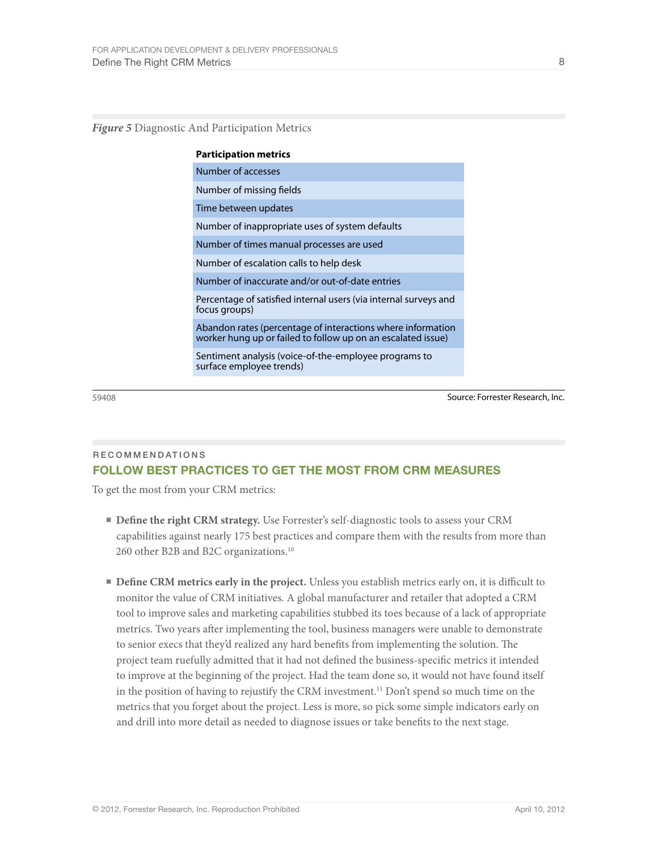#### *Figure 5* Diagnostic And Participation Metrics

| <b>Participation metrics</b>                                                                                                |
|-----------------------------------------------------------------------------------------------------------------------------|
| Number of accesses                                                                                                          |
| Number of missing fields                                                                                                    |
| Time between updates                                                                                                        |
| Number of inappropriate uses of system defaults                                                                             |
| Number of times manual processes are used                                                                                   |
| Number of escalation calls to help desk                                                                                     |
| Number of inaccurate and/or out-of-date entries                                                                             |
| Percentage of satisfied internal users (via internal surveys and<br>focus groups)                                           |
| Abandon rates (percentage of interactions where information<br>worker hung up or failed to follow up on an escalated issue) |
| Sentiment analysis (voice-of-the-employee programs to<br>surface employee trends)                                           |

59408 Source: Forrester Research, Inc.

## Recommendations Follow Best Practices To Get the Most from CRM Measures

To get the most from your CRM metrics:

- **Define the right CRM strategy.** Use Forrester's self-diagnostic tools to assess your CRM capabilities against nearly 175 best practices and compare them with the results from more than 260 other B2B and B2C organizations.10
- **Define CRM metrics early in the project.** Unless you establish metrics early on, it is difficult to monitor the value of CRM initiatives. A global manufacturer and retailer that adopted a CRM tool to improve sales and marketing capabilities stubbed its toes because of a lack of appropriate metrics. Two years after implementing the tool, business managers were unable to demonstrate to senior execs that they'd realized any hard benefits from implementing the solution. The project team ruefully admitted that it had not defined the business-specific metrics it intended to improve at the beginning of the project. Had the team done so, it would not have found itself in the position of having to rejustify the CRM investment.11 Don't spend so much time on the metrics that you forget about the project. Less is more, so pick some simple indicators early on and drill into more detail as needed to diagnose issues or take benefits to the next stage.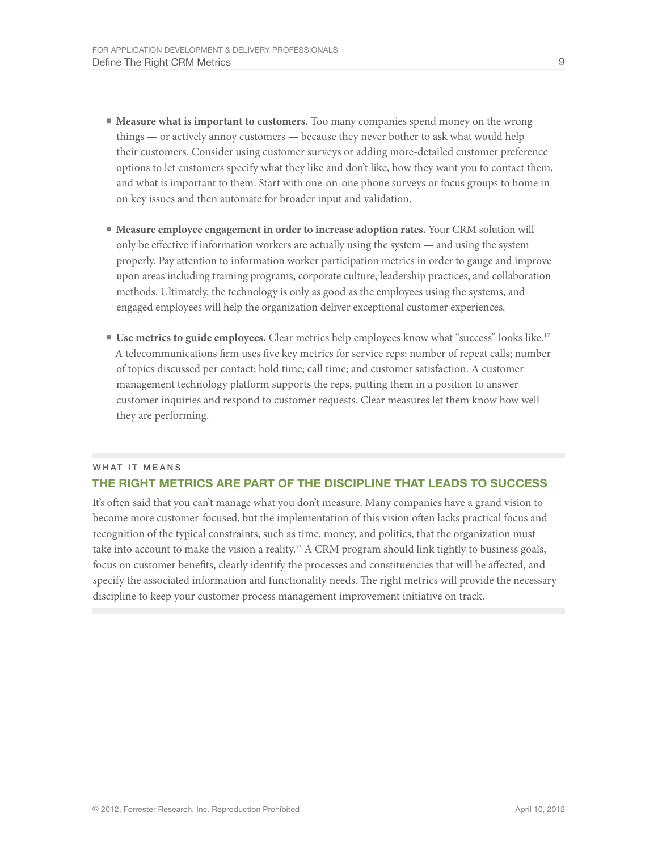- **Measure what is important to customers.** Too many companies spend money on the wrong things — or actively annoy customers — because they never bother to ask what would help their customers. Consider using customer surveys or adding more-detailed customer preference options to let customers specify what they like and don't like, how they want you to contact them, and what is important to them. Start with one-on-one phone surveys or focus groups to home in on key issues and then automate for broader input and validation.
- **■ Measure employee engagement in order to increase adoption rates.** Your CRM solution will only be effective if information workers are actually using the system — and using the system properly. Pay attention to information worker participation metrics in order to gauge and improve upon areas including training programs, corporate culture, leadership practices, and collaboration methods. Ultimately, the technology is only as good as the employees using the systems, and engaged employees will help the organization deliver exceptional customer experiences.
- **Use metrics to guide employees.** Clear metrics help employees know what "success" looks like.<sup>12</sup> A telecommunications firm uses five key metrics for service reps: number of repeat calls; number of topics discussed per contact; hold time; call time; and customer satisfaction. A customer management technology platform supports the reps, putting them in a position to answer customer inquiries and respond to customer requests. Clear measures let them know how well they are performing.

## WHAT IT MEANS The Right Metrics Are part of the discipline that leads to success

It's often said that you can't manage what you don't measure. Many companies have a grand vision to become more customer-focused, but the implementation of this vision often lacks practical focus and recognition of the typical constraints, such as time, money, and politics, that the organization must take into account to make the vision a reality.13 A CRM program should link tightly to business goals, focus on customer benefits, clearly identify the processes and constituencies that will be affected, and specify the associated information and functionality needs. The right metrics will provide the necessary discipline to keep your customer process management improvement initiative on track.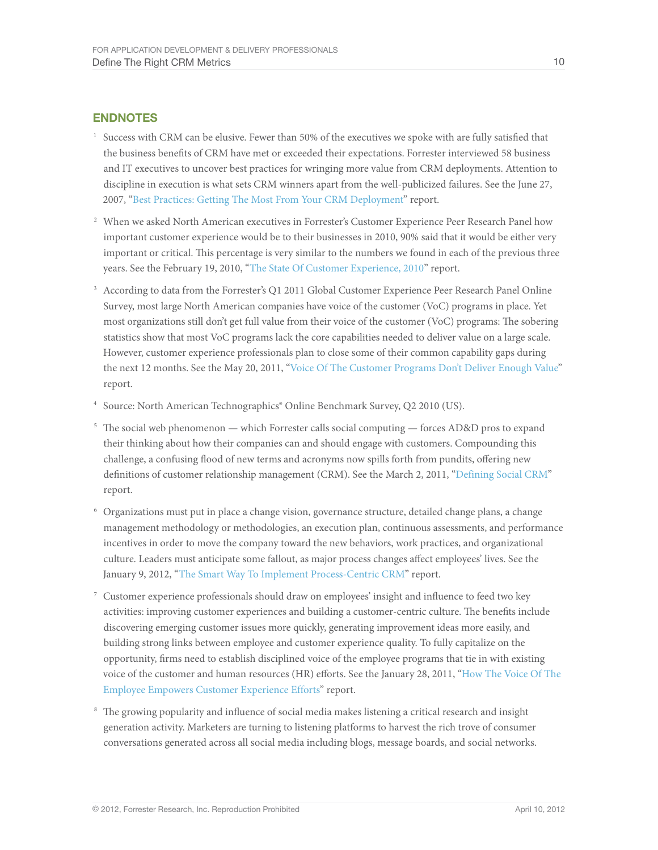## **ENDNOTES**

- $1$  Success with CRM can be elusive. Fewer than 50% of the executives we spoke with are fully satisfied that the business benefits of CRM have met or exceeded their expectations. Forrester interviewed 58 business and IT executives to uncover best practices for wringing more value from CRM deployments. Attention to discipline in execution is what sets CRM winners apart from the well-publicized failures. See the June 27, 2007, ["Best Practices: Getting The Most From Your CRM Deployment](http://www.forrester.com/go?objectid=RES41613)" report.
- <sup>2</sup> When we asked North American executives in Forrester's Customer Experience Peer Research Panel how important customer experience would be to their businesses in 2010, 90% said that it would be either very important or critical. This percentage is very similar to the numbers we found in each of the previous three years. See the February 19, 2010, ["The State Of Customer Experience, 2010"](http://www.forrester.com/go?objectid=RES56316) report.
- <sup>3</sup> According to data from the Forrester's Q1 2011 Global Customer Experience Peer Research Panel Online Survey, most large North American companies have voice of the customer (VoC) programs in place. Yet most organizations still don't get full value from their voice of the customer (VoC) programs: The sobering statistics show that most VoC programs lack the core capabilities needed to deliver value on a large scale. However, customer experience professionals plan to close some of their common capability gaps during the next 12 months. See the May 20, 2011, ["Voice Of The Customer Programs Don't Deliver Enough Value](http://www.forrester.com/go?objectid=RES59347)" report.
- <sup>4</sup> Source: North American Technographics<sup>®</sup> Online Benchmark Survey, Q2 2010 (US).
- <sup>5</sup> The social web phenomenon which Forrester calls social computing forces AD&D pros to expand their thinking about how their companies can and should engage with customers. Compounding this challenge, a confusing flood of new terms and acronyms now spills forth from pundits, offering new definitions of customer relationship management (CRM). See the March 2, 2011, ["Defining Social CRM"](http://www.forrester.com/go?objectid=RES58507) report.
- <sup>6</sup> Organizations must put in place a change vision, governance structure, detailed change plans, a change management methodology or methodologies, an execution plan, continuous assessments, and performance incentives in order to move the company toward the new behaviors, work practices, and organizational culture. Leaders must anticipate some fallout, as major process changes affect employees' lives. See the January 9, 2012, ["The Smart Way To Implement Process-Centric CRM"](http://www.forrester.com/go?objectid=RES60676) report.
- <sup>7</sup> Customer experience professionals should draw on employees' insight and influence to feed two key activities: improving customer experiences and building a customer-centric culture. The benefits include discovering emerging customer issues more quickly, generating improvement ideas more easily, and building strong links between employee and customer experience quality. To fully capitalize on the opportunity, firms need to establish disciplined voice of the employee programs that tie in with existing voice of the customer and human resources (HR) efforts. See the January 28, 2011, "[How The Voice Of The](http://www.forrester.com/go?objectid=RES57855)  [Employee Empowers Customer Experience Efforts"](http://www.forrester.com/go?objectid=RES57855) report.
- <sup>8</sup> The growing popularity and influence of social media makes listening a critical research and insight generation activity. Marketers are turning to listening platforms to harvest the rich trove of consumer conversations generated across all social media including blogs, message boards, and social networks.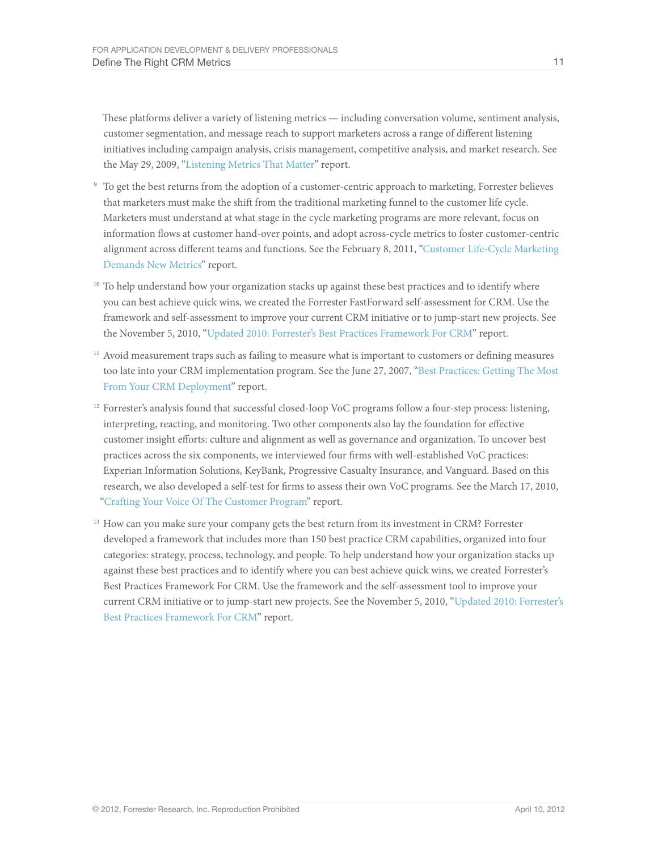These platforms deliver a variety of listening metrics — including conversation volume, sentiment analysis, customer segmentation, and message reach to support marketers across a range of different listening initiatives including campaign analysis, crisis management, competitive analysis, and market research. See the May 29, 2009, "[Listening Metrics That Matter"](http://www.forrester.com/go?objectid=RES54700) report.

- <sup>9</sup> To get the best returns from the adoption of a customer-centric approach to marketing, Forrester believes that marketers must make the shift from the traditional marketing funnel to the customer life cycle. Marketers must understand at what stage in the cycle marketing programs are more relevant, focus on information flows at customer hand-over points, and adopt across-cycle metrics to foster customer-centric alignment across different teams and functions. See the February 8, 2011, "[Customer Life-Cycle Marketing](http://www.forrester.com/go?objectid=RES58235)  [Demands New Metrics](http://www.forrester.com/go?objectid=RES58235)" report.
- <sup>10</sup> To help understand how your organization stacks up against these best practices and to identify where you can best achieve quick wins, we created the Forrester FastForward self-assessment for CRM. Use the framework and self-assessment to improve your current CRM initiative or to jump-start new projects. See the November 5, 2010, "[Updated 2010: Forrester's Best Practices Framework For CRM"](http://www.forrester.com/go?objectid=RES58002) report.
- <sup>11</sup> Avoid measurement traps such as failing to measure what is important to customers or defining measures too late into your CRM implementation program. See the June 27, 2007, ["Best Practices: Getting The Most](http://www.forrester.com/go?objectid=RES41613)  [From Your CRM Deployment](http://www.forrester.com/go?objectid=RES41613)" report.
- <sup>12</sup> Forrester's analysis found that successful closed-loop VoC programs follow a four-step process: listening, interpreting, reacting, and monitoring. Two other components also lay the foundation for effective customer insight efforts: culture and alignment as well as governance and organization. To uncover best practices across the six components, we interviewed four firms with well-established VoC practices: Experian Information Solutions, KeyBank, Progressive Casualty Insurance, and Vanguard. Based on this research, we also developed a self-test for firms to assess their own VoC programs. See the March 17, 2010, ["Crafting Your Voice Of The Customer Program](http://www.forrester.com/go?objectid=RES56574)" report.
- <sup>13</sup> How can you make sure your company gets the best return from its investment in CRM? Forrester developed a framework that includes more than 150 best practice CRM capabilities, organized into four categories: strategy, process, technology, and people. To help understand how your organization stacks up against these best practices and to identify where you can best achieve quick wins, we created Forrester's Best Practices Framework For CRM. Use the framework and the self-assessment tool to improve your current CRM initiative or to jump-start new projects. See the November 5, 2010, "[Updated 2010: Forrester's](http://www.forrester.com/go?objectid=RES58002)  [Best Practices Framework For CRM](http://www.forrester.com/go?objectid=RES58002)" report.